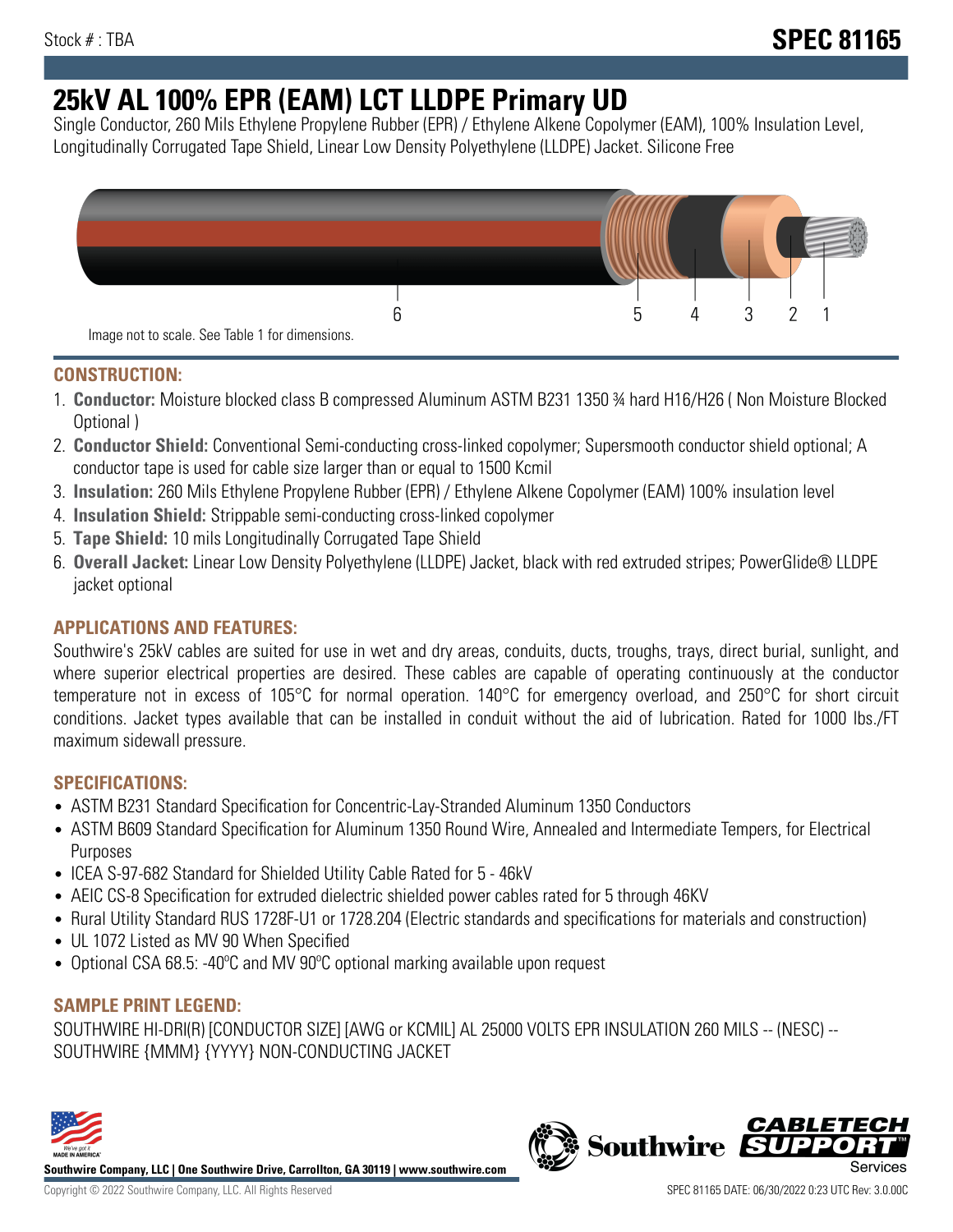# **25kV AL 100% EPR (EAM) LCT LLDPE Primary UD**

Single Conductor, 260 Mils Ethylene Propylene Rubber (EPR) / Ethylene Alkene Copolymer (EAM), 100% Insulation Level, Longitudinally Corrugated Tape Shield, Linear Low Density Polyethylene (LLDPE) Jacket. Silicone Free



## **CONSTRUCTION:**

- 1. **Conductor:** Moisture blocked class B compressed Aluminum ASTM B231 1350 ¾ hard H16/H26 ( Non Moisture Blocked Optional )
- 2. **Conductor Shield:** Conventional Semi-conducting cross-linked copolymer; Supersmooth conductor shield optional; A conductor tape is used for cable size larger than or equal to 1500 Kcmil
- 3. **Insulation:** 260 Mils Ethylene Propylene Rubber (EPR) / Ethylene Alkene Copolymer (EAM) 100% insulation level
- 4. **Insulation Shield:** Strippable semi-conducting cross-linked copolymer
- 5. **Tape Shield:** 10 mils Longitudinally Corrugated Tape Shield
- 6. **Overall Jacket:** Linear Low Density Polyethylene (LLDPE) Jacket, black with red extruded stripes; PowerGlide® LLDPE jacket optional

# **APPLICATIONS AND FEATURES:**

Southwire's 25kV cables are suited for use in wet and dry areas, conduits, ducts, troughs, trays, direct burial, sunlight, and where superior electrical properties are desired. These cables are capable of operating continuously at the conductor temperature not in excess of 105°C for normal operation. 140°C for emergency overload, and 250°C for short circuit conditions. Jacket types available that can be installed in conduit without the aid of lubrication. Rated for 1000 lbs./FT maximum sidewall pressure.

## **SPECIFICATIONS:**

- ASTM B231 Standard Specification for Concentric-Lay-Stranded Aluminum 1350 Conductors
- ASTM B609 Standard Specification for Aluminum 1350 Round Wire, Annealed and Intermediate Tempers, for Electrical Purposes
- ICEA S-97-682 Standard for Shielded Utility Cable Rated for 5 46kV
- AEIC CS-8 Specification for extruded dielectric shielded power cables rated for 5 through 46KV
- Rural Utility Standard RUS 1728F-U1 or 1728.204 (Electric standards and specifications for materials and construction)
- UL 1072 Listed as MV 90 When Specified
- Optional CSA 68.5: -40ºC and MV 90ºC optional marking available upon request

## **SAMPLE PRINT LEGEND:**

SOUTHWIRE HI-DRI(R) [CONDUCTOR SIZE] [AWG or KCMIL] AL 25000 VOLTS EPR INSULATION 260 MILS -- (NESC) -- SOUTHWIRE {MMM} {YYYY} NON-CONDUCTING JACKET



**Southwire Company, LLC | One Southwire Drive, Carrollton, GA 30119 | www.southwire.com**